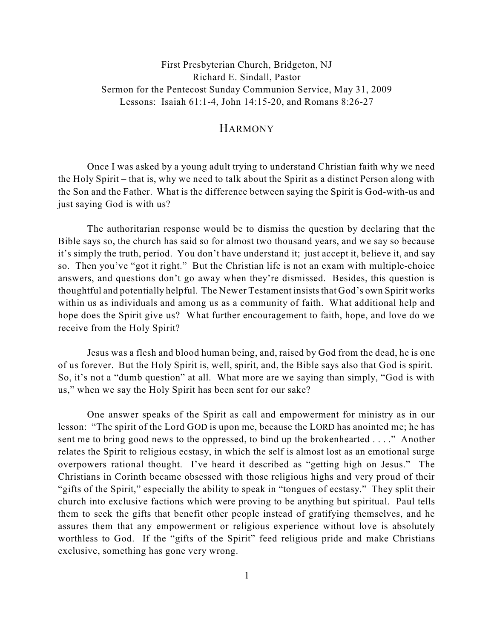First Presbyterian Church, Bridgeton, NJ Richard E. Sindall, Pastor Sermon for the Pentecost Sunday Communion Service, May 31, 2009 Lessons: Isaiah 61:1-4, John 14:15-20, and Romans 8:26-27

## HARMONY

Once I was asked by a young adult trying to understand Christian faith why we need the Holy Spirit – that is, why we need to talk about the Spirit as a distinct Person along with the Son and the Father. What is the difference between saying the Spirit is God-with-us and just saying God is with us?

The authoritarian response would be to dismiss the question by declaring that the Bible says so, the church has said so for almost two thousand years, and we say so because it's simply the truth, period. You don't have understand it; just accept it, believe it, and say so. Then you've "got it right." But the Christian life is not an exam with multiple-choice answers, and questions don't go away when they're dismissed. Besides, this question is thoughtful and potentially helpful. The Newer Testament insists that God's own Spirit works within us as individuals and among us as a community of faith. What additional help and hope does the Spirit give us? What further encouragement to faith, hope, and love do we receive from the Holy Spirit?

Jesus was a flesh and blood human being, and, raised by God from the dead, he is one of us forever. But the Holy Spirit is, well, spirit, and, the Bible says also that God is spirit. So, it's not a "dumb question" at all. What more are we saying than simply, "God is with us," when we say the Holy Spirit has been sent for our sake?

One answer speaks of the Spirit as call and empowerment for ministry as in our lesson: "The spirit of the Lord GOD is upon me, because the LORD has anointed me; he has sent me to bring good news to the oppressed, to bind up the brokenhearted . . . ." Another relates the Spirit to religious ecstasy, in which the self is almost lost as an emotional surge overpowers rational thought. I've heard it described as "getting high on Jesus." The Christians in Corinth became obsessed with those religious highs and very proud of their "gifts of the Spirit," especially the ability to speak in "tongues of ecstasy." They split their church into exclusive factions which were proving to be anything but spiritual. Paul tells them to seek the gifts that benefit other people instead of gratifying themselves, and he assures them that any empowerment or religious experience without love is absolutely worthless to God. If the "gifts of the Spirit" feed religious pride and make Christians exclusive, something has gone very wrong.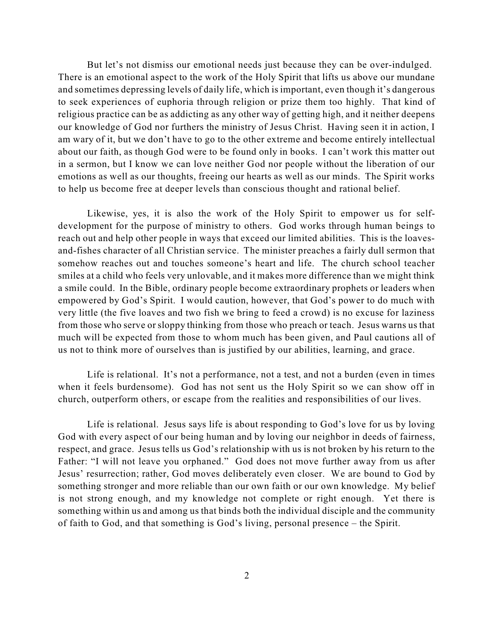But let's not dismiss our emotional needs just because they can be over-indulged. There is an emotional aspect to the work of the Holy Spirit that lifts us above our mundane and sometimes depressing levels of daily life, which is important, even though it's dangerous to seek experiences of euphoria through religion or prize them too highly. That kind of religious practice can be as addicting as any other way of getting high, and it neither deepens our knowledge of God nor furthers the ministry of Jesus Christ. Having seen it in action, I am wary of it, but we don't have to go to the other extreme and become entirely intellectual about our faith, as though God were to be found only in books. I can't work this matter out in a sermon, but I know we can love neither God nor people without the liberation of our emotions as well as our thoughts, freeing our hearts as well as our minds. The Spirit works to help us become free at deeper levels than conscious thought and rational belief.

Likewise, yes, it is also the work of the Holy Spirit to empower us for selfdevelopment for the purpose of ministry to others. God works through human beings to reach out and help other people in ways that exceed our limited abilities. This is the loavesand-fishes character of all Christian service. The minister preaches a fairly dull sermon that somehow reaches out and touches someone's heart and life. The church school teacher smiles at a child who feels very unlovable, and it makes more difference than we might think a smile could. In the Bible, ordinary people become extraordinary prophets or leaders when empowered by God's Spirit. I would caution, however, that God's power to do much with very little (the five loaves and two fish we bring to feed a crowd) is no excuse for laziness from those who serve or sloppy thinking from those who preach or teach. Jesus warns us that much will be expected from those to whom much has been given, and Paul cautions all of us not to think more of ourselves than is justified by our abilities, learning, and grace.

Life is relational. It's not a performance, not a test, and not a burden (even in times when it feels burdensome). God has not sent us the Holy Spirit so we can show off in church, outperform others, or escape from the realities and responsibilities of our lives.

Life is relational. Jesus says life is about responding to God's love for us by loving God with every aspect of our being human and by loving our neighbor in deeds of fairness, respect, and grace. Jesus tells us God's relationship with us is not broken by his return to the Father: "I will not leave you orphaned." God does not move further away from us after Jesus' resurrection; rather, God moves deliberately even closer. We are bound to God by something stronger and more reliable than our own faith or our own knowledge. My belief is not strong enough, and my knowledge not complete or right enough. Yet there is something within us and among us that binds both the individual disciple and the community of faith to God, and that something is God's living, personal presence – the Spirit.